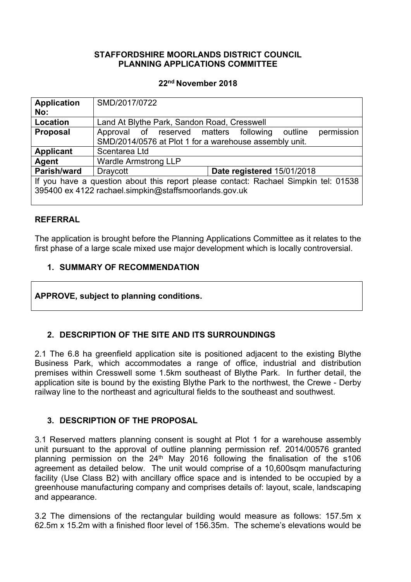#### **STAFFORDSHIRE MOORLANDS DISTRICT COUNCIL PLANNING APPLICATIONS COMMITTEE**

#### **22nd November 2018**

| <b>Application</b><br>No:                                                           | SMD/2017/0722                                                   |  |  |  |
|-------------------------------------------------------------------------------------|-----------------------------------------------------------------|--|--|--|
|                                                                                     |                                                                 |  |  |  |
| Location                                                                            | Land At Blythe Park, Sandon Road, Cresswell                     |  |  |  |
| <b>Proposal</b>                                                                     | permission<br>Approval of reserved matters following<br>outline |  |  |  |
|                                                                                     | SMD/2014/0576 at Plot 1 for a warehouse assembly unit.          |  |  |  |
| <b>Applicant</b>                                                                    | Scentarea Ltd                                                   |  |  |  |
| Agent                                                                               | <b>Wardle Armstrong LLP</b>                                     |  |  |  |
| Parish/ward                                                                         | Date registered 15/01/2018<br>Draycott                          |  |  |  |
| If you have a question about this report please contact: Rachael Simpkin tel: 01538 |                                                                 |  |  |  |
| 395400 ex 4122 rachael.simpkin@staffsmoorlands.gov.uk                               |                                                                 |  |  |  |
|                                                                                     |                                                                 |  |  |  |

#### **REFERRAL**

The application is brought before the Planning Applications Committee as it relates to the first phase of a large scale mixed use major development which is locally controversial.

#### **1. SUMMARY OF RECOMMENDATION**

#### **APPROVE, subject to planning conditions.**

# **2. DESCRIPTION OF THE SITE AND ITS SURROUNDINGS**

2.1 The 6.8 ha greenfield application site is positioned adjacent to the existing Blythe Business Park, which accommodates a range of office, industrial and distribution premises within Cresswell some 1.5km southeast of Blythe Park. In further detail, the application site is bound by the existing Blythe Park to the northwest, the Crewe - Derby railway line to the northeast and agricultural fields to the southeast and southwest.

# **3. DESCRIPTION OF THE PROPOSAL**

3.1 Reserved matters planning consent is sought at Plot 1 for a warehouse assembly unit pursuant to the approval of outline planning permission ref. 2014/00576 granted planning permission on the 24th May 2016 following the finalisation of the s106 agreement as detailed below. The unit would comprise of a 10,600sqm manufacturing facility (Use Class B2) with ancillary office space and is intended to be occupied by a greenhouse manufacturing company and comprises details of: layout, scale, landscaping and appearance.

3.2 The dimensions of the rectangular building would measure as follows: 157.5m x 62.5m x 15.2m with a finished floor level of 156.35m. The scheme's elevations would be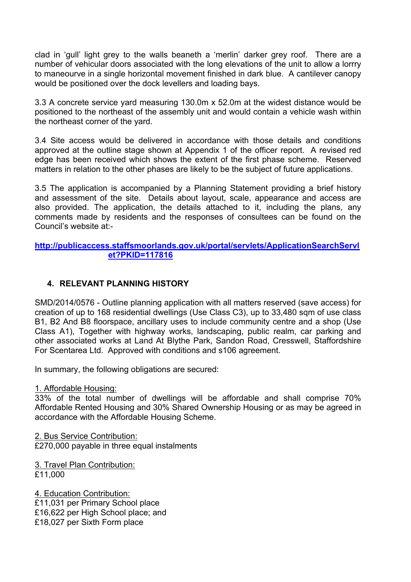clad in 'gull' light grey to the walls beaneth a 'merlin' darker grey roof. There are a number of vehicular doors associated with the long elevations of the unit to allow a lorrry to maneourve in a single horizontal movement finished in dark blue. A cantilever canopy would be positioned over the dock levellers and loading bays.

3.3 A concrete service yard measuring 130.0m x 52.0m at the widest distance would be positioned to the northeast of the assembly unit and would contain a vehicle wash within the northeast corner of the yard.

3.4 Site access would be delivered in accordance with those details and conditions approved at the outline stage shown at Appendix 1 of the officer report. A revised red edge has been received which shows the extent of the first phase scheme. Reserved matters in relation to the other phases are likely to be the subject of future applications.

3.5 The application is accompanied by a Planning Statement providing a brief history and assessment of the site. Details about layout, scale, appearance and access are also provided. The application, the details attached to it, including the plans, any comments made by residents and the responses of consultees can be found on the Council's website at:-

#### **[http://publicaccess.staffsmoorlands.gov.uk/portal/servlets/ApplicationSearchServl](http://publicaccess.staffsmoorlands.gov.uk/portal/servlets/ApplicationSearchServlet?PKID=117816) [et?PKID=117816](http://publicaccess.staffsmoorlands.gov.uk/portal/servlets/ApplicationSearchServlet?PKID=117816)**

#### **4. RELEVANT PLANNING HISTORY**

SMD/2014/0576 - Outline planning application with all matters reserved (save access) for creation of up to 168 residential dwellings (Use Class C3), up to 33,480 sqm of use class B1, B2 And B8 floorspace, ancillary uses to include community centre and a shop (Use Class A1), Together with highway works, landscaping, public realm, car parking and other associated works at Land At Blythe Park, Sandon Road, Cresswell, Staffordshire For Scentarea Ltd. Approved with conditions and s106 agreement.

In summary, the following obligations are secured:

1. Affordable Housing:

33% of the total number of dwellings will be affordable and shall comprise 70% Affordable Rented Housing and 30% Shared Ownership Housing or as may be agreed in accordance with the Affordable Housing Scheme.

2. Bus Service Contribution: £270,000 payable in three equal instalments

3. Travel Plan Contribution: £11,000

4. Education Contribution: £11,031 per Primary School place £16,622 per High School place; and £18,027 per Sixth Form place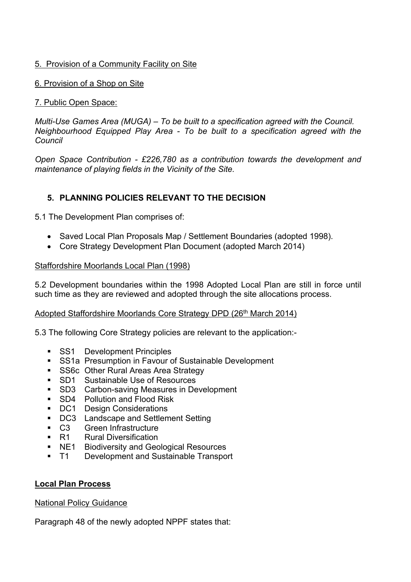#### 5. Provision of a Community Facility on Site

6. Provision of a Shop on Site

#### 7. Public Open Space:

*Multi-Use Games Area (MUGA) – To be built to a specification agreed with the Council. Neighbourhood Equipped Play Area - To be built to a specification agreed with the Council*

*Open Space Contribution - £226,780 as a contribution towards the development and maintenance of playing fields in the Vicinity of the Site.*

# **5. PLANNING POLICIES RELEVANT TO THE DECISION**

5.1 The Development Plan comprises of:

- Saved Local Plan Proposals Map / Settlement Boundaries (adopted 1998).
- Core Strategy Development Plan Document (adopted March 2014)

#### Staffordshire Moorlands Local Plan (1998)

5.2 Development boundaries within the 1998 Adopted Local Plan are still in force until such time as they are reviewed and adopted through the site allocations process.

#### Adopted Staffordshire Moorlands Core Strategy DPD (26<sup>th</sup> March 2014)

5.3 The following Core Strategy policies are relevant to the application:-

- SS1 Development Principles
- SS1a Presumption in Favour of Sustainable Development
- **SS6c Other Rural Areas Area Strategy**
- **SD1** Sustainable Use of Resources
- SD3 Carbon-saving Measures in Development
- SD4 Pollution and Flood Risk
- DC1 Design Considerations
- **DC3** Landscape and Settlement Setting
- C3 Green Infrastructure
- R1 Rural Diversification
- **NE1** Biodiversity and Geological Resources
- T1 Development and Sustainable Transport

#### **Local Plan Process**

National Policy Guidance

Paragraph 48 of the newly adopted NPPF states that: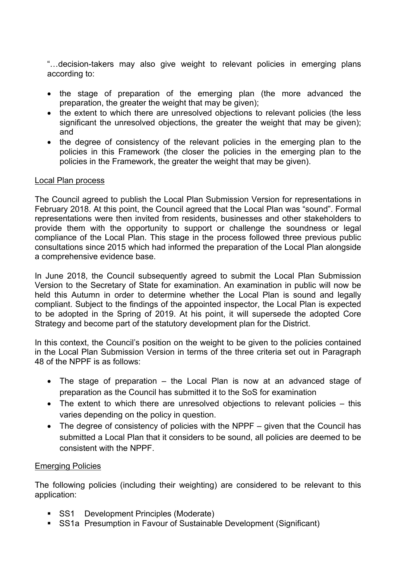"…decision-takers may also give weight to relevant policies in emerging plans according to:

- the stage of preparation of the emerging plan (the more advanced the preparation, the greater the weight that may be given);
- the extent to which there are unresolved objections to relevant policies (the less significant the unresolved objections, the greater the weight that may be given); and
- the degree of consistency of the relevant policies in the emerging plan to the policies in this Framework (the closer the policies in the emerging plan to the policies in the Framework, the greater the weight that may be given).

#### Local Plan process

The Council agreed to publish the Local Plan Submission Version for representations in February 2018. At this point, the Council agreed that the Local Plan was "sound". Formal representations were then invited from residents, businesses and other stakeholders to provide them with the opportunity to support or challenge the soundness or legal compliance of the Local Plan. This stage in the process followed three previous public consultations since 2015 which had informed the preparation of the Local Plan alongside a comprehensive evidence base.

In June 2018, the Council subsequently agreed to submit the Local Plan Submission Version to the Secretary of State for examination. An examination in public will now be held this Autumn in order to determine whether the Local Plan is sound and legally compliant. Subject to the findings of the appointed inspector, the Local Plan is expected to be adopted in the Spring of 2019. At his point, it will supersede the adopted Core Strategy and become part of the statutory development plan for the District.

In this context, the Council's position on the weight to be given to the policies contained in the Local Plan Submission Version in terms of the three criteria set out in Paragraph 48 of the NPPF is as follows:

- The stage of preparation the Local Plan is now at an advanced stage of preparation as the Council has submitted it to the SoS for examination
- The extent to which there are unresolved objections to relevant policies this varies depending on the policy in question.
- The degree of consistency of policies with the NPPF given that the Council has submitted a Local Plan that it considers to be sound, all policies are deemed to be consistent with the NPPF.

#### Emerging Policies

The following policies (including their weighting) are considered to be relevant to this application:

- SS1 Development Principles (Moderate)
- SS1a Presumption in Favour of Sustainable Development (Significant)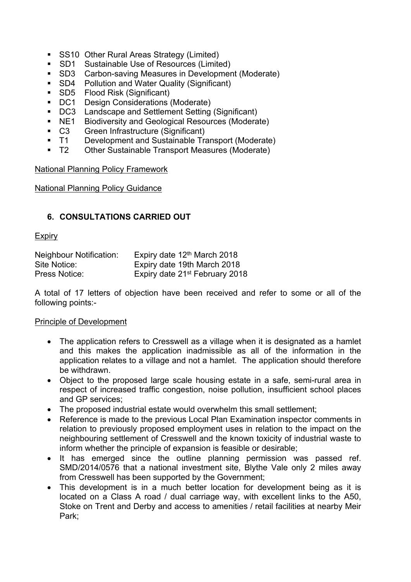- SS10 Other Rural Areas Strategy (Limited)
- SD1 Sustainable Use of Resources (Limited)
- SD3 Carbon-saving Measures in Development (Moderate)
- SD4 Pollution and Water Quality (Significant)
- **SD5** Flood Risk (Significant)
- DC1 Design Considerations (Moderate)
- DC3 Landscape and Settlement Setting (Significant)
- NE1 Biodiversity and Geological Resources (Moderate)
- C3 Green Infrastructure (Significant)
- T1 Development and Sustainable Transport (Moderate)
- T2 Other Sustainable Transport Measures (Moderate)

#### National Planning Policy Framework

National Planning Policy Guidance

# **6. CONSULTATIONS CARRIED OUT**

#### **Expiry**

| <b>Neighbour Notification:</b> | Expiry date 12 <sup>th</sup> March 2018    |
|--------------------------------|--------------------------------------------|
| Site Notice:                   | Expiry date 19th March 2018                |
| Press Notice:                  | Expiry date 21 <sup>st</sup> February 2018 |

A total of 17 letters of objection have been received and refer to some or all of the following points:-

#### Principle of Development

- The application refers to Cresswell as a village when it is designated as a hamlet and this makes the application inadmissible as all of the information in the application relates to a village and not a hamlet. The application should therefore be withdrawn.
- Object to the proposed large scale housing estate in a safe, semi-rural area in respect of increased traffic congestion, noise pollution, insufficient school places and GP services;
- The proposed industrial estate would overwhelm this small settlement:
- Reference is made to the previous Local Plan Examination inspector comments in relation to previously proposed employment uses in relation to the impact on the neighbouring settlement of Cresswell and the known toxicity of industrial waste to inform whether the principle of expansion is feasible or desirable;
- It has emerged since the outline planning permission was passed ref. SMD/2014/0576 that a national investment site, Blythe Vale only 2 miles away from Cresswell has been supported by the Government;
- This development is in a much better location for development being as it is located on a Class A road / dual carriage way, with excellent links to the A50, Stoke on Trent and Derby and access to amenities / retail facilities at nearby Meir Park;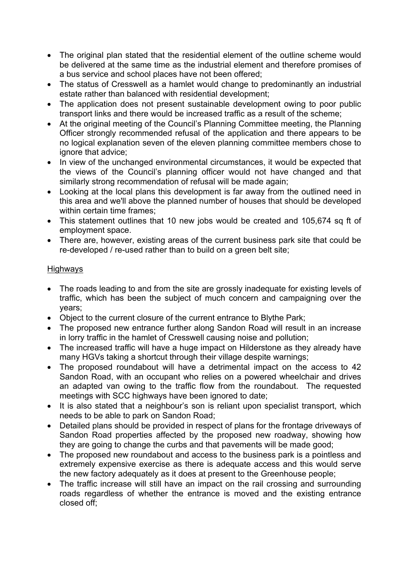- The original plan stated that the residential element of the outline scheme would be delivered at the same time as the industrial element and therefore promises of a bus service and school places have not been offered;
- The status of Cresswell as a hamlet would change to predominantly an industrial estate rather than balanced with residential development;
- The application does not present sustainable development owing to poor public transport links and there would be increased traffic as a result of the scheme;
- At the original meeting of the Council's Planning Committee meeting, the Planning Officer strongly recommended refusal of the application and there appears to be no logical explanation seven of the eleven planning committee members chose to ignore that advice;
- In view of the unchanged environmental circumstances, it would be expected that the views of the Council's planning officer would not have changed and that similarly strong recommendation of refusal will be made again;
- Looking at the local plans this development is far away from the outlined need in this area and we'll above the planned number of houses that should be developed within certain time frames;
- This statement outlines that 10 new jobs would be created and 105,674 sq ft of employment space.
- There are, however, existing areas of the current business park site that could be re-developed / re-used rather than to build on a green belt site;

#### Highways

- The roads leading to and from the site are grossly inadequate for existing levels of traffic, which has been the subject of much concern and campaigning over the years;
- Object to the current closure of the current entrance to Blythe Park;
- The proposed new entrance further along Sandon Road will result in an increase in lorry traffic in the hamlet of Cresswell causing noise and pollution;
- The increased traffic will have a huge impact on Hilderstone as they already have many HGVs taking a shortcut through their village despite warnings;
- The proposed roundabout will have a detrimental impact on the access to 42 Sandon Road, with an occupant who relies on a powered wheelchair and drives an adapted van owing to the traffic flow from the roundabout. The requested meetings with SCC highways have been ignored to date;
- It is also stated that a neighbour's son is reliant upon specialist transport, which needs to be able to park on Sandon Road;
- Detailed plans should be provided in respect of plans for the frontage driveways of Sandon Road properties affected by the proposed new roadway, showing how they are going to change the curbs and that pavements will be made good;
- The proposed new roundabout and access to the business park is a pointless and extremely expensive exercise as there is adequate access and this would serve the new factory adequately as it does at present to the Greenhouse people;
- The traffic increase will still have an impact on the rail crossing and surrounding roads regardless of whether the entrance is moved and the existing entrance closed off;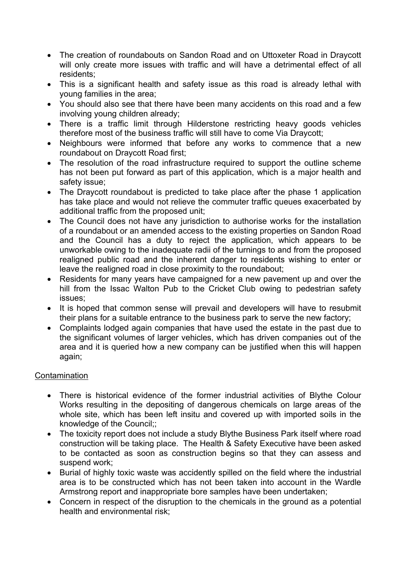- The creation of roundabouts on Sandon Road and on Uttoxeter Road in Draycott will only create more issues with traffic and will have a detrimental effect of all residents;
- This is a significant health and safety issue as this road is already lethal with young families in the area;
- You should also see that there have been many accidents on this road and a few involving young children already;
- There is a traffic limit through Hilderstone restricting heavy goods vehicles therefore most of the business traffic will still have to come Via Draycott;
- Neighbours were informed that before any works to commence that a new roundabout on Draycott Road first;
- The resolution of the road infrastructure required to support the outline scheme has not been put forward as part of this application, which is a major health and safety issue;
- The Draycott roundabout is predicted to take place after the phase 1 application has take place and would not relieve the commuter traffic queues exacerbated by additional traffic from the proposed unit;
- The Council does not have any jurisdiction to authorise works for the installation of a roundabout or an amended access to the existing properties on Sandon Road and the Council has a duty to reject the application, which appears to be unworkable owing to the inadequate radii of the turnings to and from the proposed realigned public road and the inherent danger to residents wishing to enter or leave the realigned road in close proximity to the roundabout;
- Residents for many years have campaigned for a new pavement up and over the hill from the Issac Walton Pub to the Cricket Club owing to pedestrian safety issues;
- It is hoped that common sense will prevail and developers will have to resubmit their plans for a suitable entrance to the business park to serve the new factory;
- Complaints lodged again companies that have used the estate in the past due to the significant volumes of larger vehicles, which has driven companies out of the area and it is queried how a new company can be justified when this will happen again;

#### **Contamination**

- There is historical evidence of the former industrial activities of Blythe Colour Works resulting in the depositing of dangerous chemicals on large areas of the whole site, which has been left insitu and covered up with imported soils in the knowledge of the Council;;
- The toxicity report does not include a study Blythe Business Park itself where road construction will be taking place. The Health & Safety Executive have been asked to be contacted as soon as construction begins so that they can assess and suspend work;
- Burial of highly toxic waste was accidently spilled on the field where the industrial area is to be constructed which has not been taken into account in the Wardle Armstrong report and inappropriate bore samples have been undertaken;
- Concern in respect of the disruption to the chemicals in the ground as a potential health and environmental risk;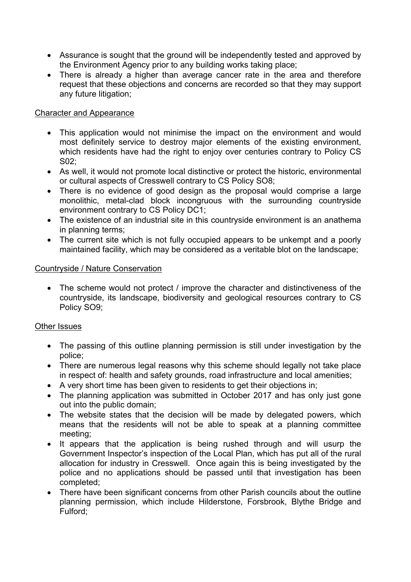- Assurance is sought that the ground will be independently tested and approved by the Environment Agency prior to any building works taking place;
- There is already a higher than average cancer rate in the area and therefore request that these objections and concerns are recorded so that they may support any future litigation;

#### Character and Appearance

- This application would not minimise the impact on the environment and would most definitely service to destroy major elements of the existing environment, which residents have had the right to enjoy over centuries contrary to Policy CS S02;
- As well, it would not promote local distinctive or protect the historic, environmental or cultural aspects of Cresswell contrary to CS Policy SO8;
- There is no evidence of good design as the proposal would comprise a large monolithic, metal-clad block incongruous with the surrounding countryside environment contrary to CS Policy DC1;
- The existence of an industrial site in this countryside environment is an anathema in planning terms;
- The current site which is not fully occupied appears to be unkempt and a poorly maintained facility, which may be considered as a veritable blot on the landscape;

#### Countryside / Nature Conservation

• The scheme would not protect / improve the character and distinctiveness of the countryside, its landscape, biodiversity and geological resources contrary to CS Policy SO9;

# Other Issues

- The passing of this outline planning permission is still under investigation by the police;
- There are numerous legal reasons why this scheme should legally not take place in respect of: health and safety grounds, road infrastructure and local amenities;
- A very short time has been given to residents to get their objections in;
- The planning application was submitted in October 2017 and has only just gone out into the public domain;
- The website states that the decision will be made by delegated powers, which means that the residents will not be able to speak at a planning committee meeting;
- It appears that the application is being rushed through and will usurp the Government Inspector's inspection of the Local Plan, which has put all of the rural allocation for industry in Cresswell. Once again this is being investigated by the police and no applications should be passed until that investigation has been completed;
- There have been significant concerns from other Parish councils about the outline planning permission, which include Hilderstone, Forsbrook, Blythe Bridge and Fulford;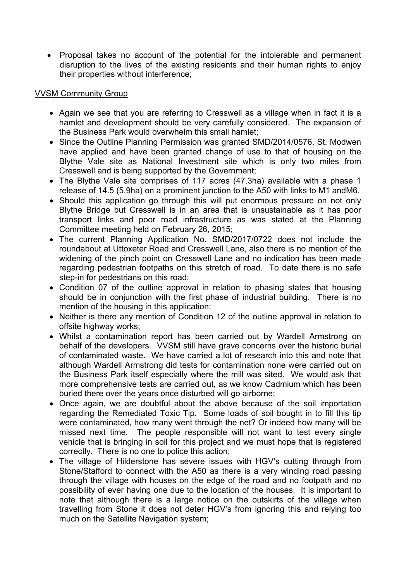• Proposal takes no account of the potential for the intolerable and permanent disruption to the lives of the existing residents and their human rights to enjoy their properties without interference;

#### VVSM Community Group

- Again we see that you are referring to Cresswell as a village when in fact it is a hamlet and development should be very carefully considered. The expansion of the Business Park would overwhelm this small hamlet;
- Since the Outline Planning Permission was granted SMD/2014/0576, St. Modwen have applied and have been granted change of use to that of housing on the Blythe Vale site as National Investment site which is only two miles from Cresswell and is being supported by the Government;
- The Blythe Vale site comprises of 117 acres (47.3ha) available with a phase 1 release of 14.5 (5.9ha) on a prominent junction to the A50 with links to M1 andM6.
- Should this application go through this will put enormous pressure on not only Blythe Bridge but Cresswell is in an area that is unsustainable as it has poor transport links and poor road infrastructure as was stated at the Planning Committee meeting held on February 26, 2015;
- The current Planning Application No. SMD/2017/0722 does not include the roundabout at Uttoxeter Road and Cresswell Lane, also there is no mention of the widening of the pinch point on Cresswell Lane and no indication has been made regarding pedestrian footpaths on this stretch of road. To date there is no safe step-in for pedestrians on this road;
- Condition 07 of the outline approval in relation to phasing states that housing should be in conjunction with the first phase of industrial building. There is no mention of the housing in this application;
- Neither is there any mention of Condition 12 of the outline approval in relation to offsite highway works;
- Whilst a contamination report has been carried out by Wardell Armstrong on behalf of the developers. VVSM still have grave concerns over the historic burial of contaminated waste. We have carried a lot of research into this and note that although Wardell Armstrong did tests for contamination none were carried out on the Business Park itself especially where the mill was sited. We would ask that more comprehensive tests are carried out, as we know Cadmium which has been buried there over the years once disturbed will go airborne;
- Once again, we are doubtful about the above because of the soil importation regarding the Remediated Toxic Tip. Some loads of soil bought in to fill this tip were contaminated, how many went through the net? Or indeed how many will be missed next time. The people responsible will not want to test every single vehicle that is bringing in soil for this project and we must hope that is registered correctly. There is no one to police this action;
- The village of Hilderstone has severe issues with HGV's cutting through from Stone/Stafford to connect with the A50 as there is a very winding road passing through the village with houses on the edge of the road and no footpath and no possibility of ever having one due to the location of the houses. It is important to note that although there is a large notice on the outskirts of the village when travelling from Stone it does not deter HGV's from ignoring this and relying too much on the Satellite Navigation system;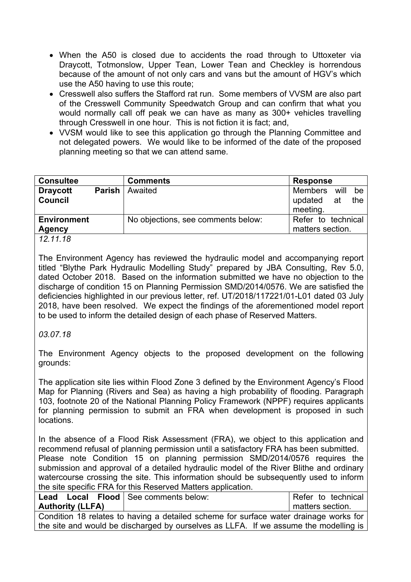- When the A50 is closed due to accidents the road through to Uttoxeter via Draycott, Totmonslow, Upper Tean, Lower Tean and Checkley is horrendous because of the amount of not only cars and vans but the amount of HGV's which use the A50 having to use this route;
- Cresswell also suffers the Stafford rat run. Some members of VVSM are also part of the Cresswell Community Speedwatch Group and can confirm that what you would normally call off peak we can have as many as 300+ vehicles travelling through Cresswell in one hour. This is not fiction it is fact; and,
- VVSM would like to see this application go through the Planning Committee and not delegated powers. We would like to be informed of the date of the proposed planning meeting so that we can attend same.

| <b>Consultee</b>                    |               | <b>Comments</b>                    | <b>Response</b>                        |            |           |
|-------------------------------------|---------------|------------------------------------|----------------------------------------|------------|-----------|
| <b>Draycott</b><br><b>Council</b>   | <b>Parish</b> | Awaited                            | Members<br>updated<br>meeting.         | will<br>at | be<br>the |
| <b>Environment</b><br><b>Agency</b> |               | No objections, see comments below: | Refer to technical<br>matters section. |            |           |
| 10, 11, 10                          |               |                                    |                                        |            |           |

*12.11.18*

The Environment Agency has reviewed the hydraulic model and accompanying report titled "Blythe Park Hydraulic Modelling Study" prepared by JBA Consulting, Rev 5.0, dated October 2018. Based on the information submitted we have no objection to the discharge of condition 15 on Planning Permission SMD/2014/0576. We are satisfied the deficiencies highlighted in our previous letter, ref. UT/2018/117221/01-L01 dated 03 July 2018, have been resolved. We expect the findings of the aforementioned model report to be used to inform the detailed design of each phase of Reserved Matters.

# *03.07.18*

The Environment Agency objects to the proposed development on the following grounds:

The application site lies within Flood Zone 3 defined by the Environment Agency's Flood Map for Planning (Rivers and Sea) as having a high probability of flooding. Paragraph 103, footnote 20 of the National Planning Policy Framework (NPPF) requires applicants for planning permission to submit an FRA when development is proposed in such locations.

In the absence of a Flood Risk Assessment (FRA), we object to this application and recommend refusal of planning permission until a satisfactory FRA has been submitted. Please note Condition 15 on planning permission SMD/2014/0576 requires the submission and approval of a detailed hydraulic model of the River Blithe and ordinary watercourse crossing the site. This information should be subsequently used to inform the site specific FRA for this Reserved Matters application.

| Lead Local Flood See comments below:                                                  |                                                                                      | Refer to technical |  |
|---------------------------------------------------------------------------------------|--------------------------------------------------------------------------------------|--------------------|--|
| <b>Authority (LLFA)</b>                                                               |                                                                                      | matters section.   |  |
| Condition 18 relates to having a detailed scheme for surface water drainage works for |                                                                                      |                    |  |
|                                                                                       | the site and would be discharged by ourselves as LLFA. If we assume the modelling is |                    |  |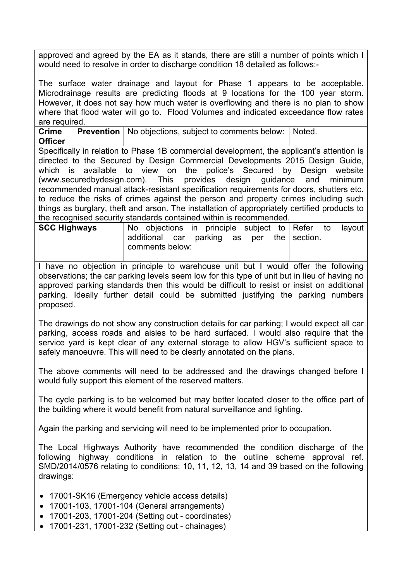approved and agreed by the EA as it stands, there are still a number of points which I would need to resolve in order to discharge condition 18 detailed as follows:-

The surface water drainage and layout for Phase 1 appears to be acceptable. Microdrainage results are predicting floods at 9 locations for the 100 year storm. However, it does not say how much water is overflowing and there is no plan to show where that flood water will go to. Flood Volumes and indicated exceedance flow rates are required.

**Crime** Prevention | No objections, subject to comments below: | Noted. **Officer**

Specifically in relation to Phase 1B commercial development, the applicant's attention is directed to the Secured by Design Commercial Developments 2015 Design Guide, which is available to view on the police's Secured by Design website (www.securedbydesign.com). This provides design guidance and minimum recommended manual attack-resistant specification requirements for doors, shutters etc. to reduce the risks of crimes against the person and property crimes including such things as burglary, theft and arson. The installation of appropriately certified products to the recognised security standards contained within is recommended.

|  |  |                 |  |                           |                                             | lavout                 |
|--|--|-----------------|--|---------------------------|---------------------------------------------|------------------------|
|  |  |                 |  |                           |                                             |                        |
|  |  |                 |  |                           |                                             |                        |
|  |  | comments below: |  | additional car parking as | No objections in principle subject to Refer | to<br>per the section. |

I have no objection in principle to warehouse unit but I would offer the following observations; the car parking levels seem low for this type of unit but in lieu of having no approved parking standards then this would be difficult to resist or insist on additional parking. Ideally further detail could be submitted justifying the parking numbers proposed.

The drawings do not show any construction details for car parking; I would expect all car parking, access roads and aisles to be hard surfaced. I would also require that the service yard is kept clear of any external storage to allow HGV's sufficient space to safely manoeuvre. This will need to be clearly annotated on the plans.

The above comments will need to be addressed and the drawings changed before I would fully support this element of the reserved matters.

The cycle parking is to be welcomed but may better located closer to the office part of the building where it would benefit from natural surveillance and lighting.

Again the parking and servicing will need to be implemented prior to occupation.

The Local Highways Authority have recommended the condition discharge of the following highway conditions in relation to the outline scheme approval ref. SMD/2014/0576 relating to conditions: 10, 11, 12, 13, 14 and 39 based on the following drawings:

- 17001-SK16 (Emergency vehicle access details)
- 17001-103, 17001-104 (General arrangements)
- 17001-203, 17001-204 (Setting out coordinates)
- 17001-231, 17001-232 (Setting out chainages)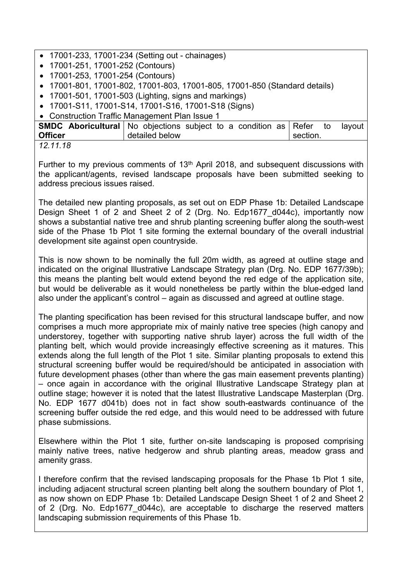- 17001-233, 17001-234 (Setting out chainages)
- 17001-251, 17001-252 (Contours)
- 17001-253, 17001-254 (Contours)
- 17001-801, 17001-802, 17001-803, 17001-805, 17001-850 (Standard details)
- 17001-501, 17001-503 (Lighting, signs and markings)
- 17001-S11, 17001-S14, 17001-S16, 17001-S18 (Signs)

Construction Traffic Management Plan Issue 1

|                | <b>SMDC Aboricultural</b> No objections subject to a condition as Refer to | lavout           |
|----------------|----------------------------------------------------------------------------|------------------|
| <b>Officer</b> | detailed below                                                             | $\perp$ section. |
| ,,,,,,,,       |                                                                            |                  |

*12.11.18*

Further to my previous comments of  $13<sup>th</sup>$  April 2018, and subsequent discussions with the applicant/agents, revised landscape proposals have been submitted seeking to address precious issues raised.

The detailed new planting proposals, as set out on EDP Phase 1b: Detailed Landscape Design Sheet 1 of 2 and Sheet 2 of 2 (Drg. No. Edp1677 d044c), importantly now shows a substantial native tree and shrub planting screening buffer along the south-west side of the Phase 1b Plot 1 site forming the external boundary of the overall industrial development site against open countryside.

This is now shown to be nominally the full 20m width, as agreed at outline stage and indicated on the original Illustrative Landscape Strategy plan (Drg. No. EDP 1677/39b); this means the planting belt would extend beyond the red edge of the application site, but would be deliverable as it would nonetheless be partly within the blue-edged land also under the applicant's control – again as discussed and agreed at outline stage.

The planting specification has been revised for this structural landscape buffer, and now comprises a much more appropriate mix of mainly native tree species (high canopy and understorey, together with supporting native shrub layer) across the full width of the planting belt, which would provide increasingly effective screening as it matures. This extends along the full length of the Plot 1 site. Similar planting proposals to extend this structural screening buffer would be required/should be anticipated in association with future development phases (other than where the gas main easement prevents planting) – once again in accordance with the original Illustrative Landscape Strategy plan at outline stage; however it is noted that the latest Illustrative Landscape Masterplan (Drg. No. EDP 1677 d041b) does not in fact show south-eastwards continuance of the screening buffer outside the red edge, and this would need to be addressed with future phase submissions.

Elsewhere within the Plot 1 site, further on-site landscaping is proposed comprising mainly native trees, native hedgerow and shrub planting areas, meadow grass and amenity grass.

I therefore confirm that the revised landscaping proposals for the Phase 1b Plot 1 site, including adjacent structural screen planting belt along the southern boundary of Plot 1, as now shown on EDP Phase 1b: Detailed Landscape Design Sheet 1 of 2 and Sheet 2 of 2 (Drg. No. Edp1677\_d044c), are acceptable to discharge the reserved matters landscaping submission requirements of this Phase 1b.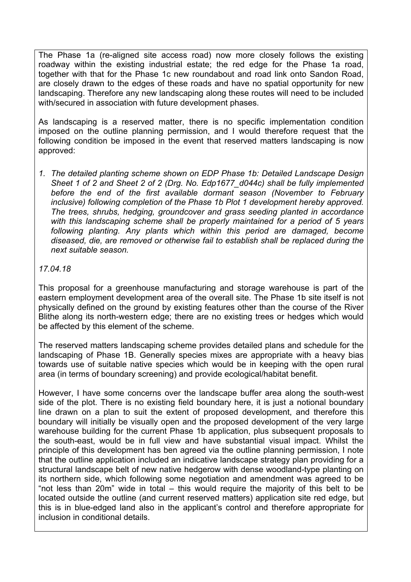The Phase 1a (re-aligned site access road) now more closely follows the existing roadway within the existing industrial estate; the red edge for the Phase 1a road, together with that for the Phase 1c new roundabout and road link onto Sandon Road, are closely drawn to the edges of these roads and have no spatial opportunity for new landscaping. Therefore any new landscaping along these routes will need to be included with/secured in association with future development phases.

As landscaping is a reserved matter, there is no specific implementation condition imposed on the outline planning permission, and I would therefore request that the following condition be imposed in the event that reserved matters landscaping is now approved:

*1. The detailed planting scheme shown on EDP Phase 1b: Detailed Landscape Design Sheet 1 of 2 and Sheet 2 of 2 (Drg. No. Edp1677\_d044c) shall be fully implemented before the end of the first available dormant season (November to February inclusive) following completion of the Phase 1b Plot 1 development hereby approved. The trees, shrubs, hedging, groundcover and grass seeding planted in accordance with this landscaping scheme shall be properly maintained for a period of 5 years following planting. Any plants which within this period are damaged, become diseased, die, are removed or otherwise fail to establish shall be replaced during the next suitable season.*

#### *17.04.18*

This proposal for a greenhouse manufacturing and storage warehouse is part of the eastern employment development area of the overall site. The Phase 1b site itself is not physically defined on the ground by existing features other than the course of the River Blithe along its north-western edge; there are no existing trees or hedges which would be affected by this element of the scheme.

The reserved matters landscaping scheme provides detailed plans and schedule for the landscaping of Phase 1B. Generally species mixes are appropriate with a heavy bias towards use of suitable native species which would be in keeping with the open rural area (in terms of boundary screening) and provide ecological/habitat benefit.

However, I have some concerns over the landscape buffer area along the south-west side of the plot. There is no existing field boundary here, it is just a notional boundary line drawn on a plan to suit the extent of proposed development, and therefore this boundary will initially be visually open and the proposed development of the very large warehouse building for the current Phase 1b application, plus subsequent proposals to the south-east, would be in full view and have substantial visual impact. Whilst the principle of this development has ben agreed via the outline planning permission, I note that the outline application included an indicative landscape strategy plan providing for a structural landscape belt of new native hedgerow with dense woodland-type planting on its northern side, which following some negotiation and amendment was agreed to be "not less than 20m" wide in total – this would require the majority of this belt to be located outside the outline (and current reserved matters) application site red edge, but this is in blue-edged land also in the applicant's control and therefore appropriate for inclusion in conditional details.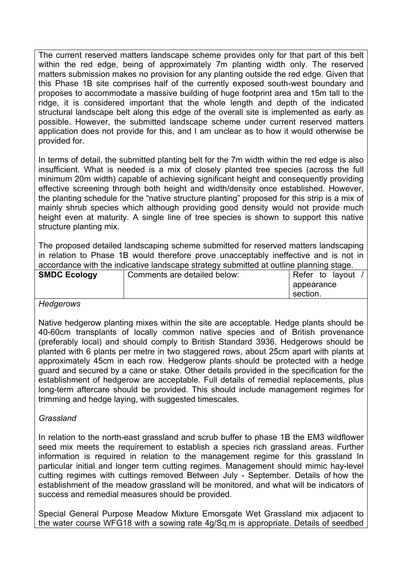The current reserved matters landscape scheme provides only for that part of this belt within the red edge, being of approximately 7m planting width only. The reserved matters submission makes no provision for any planting outside the red edge. Given that this Phase 1B site comprises half of the currently exposed south-west boundary and proposes to accommodate a massive building of huge footprint area and 15m tall to the ridge, it is considered important that the whole length and depth of the indicated structural landscape belt along this edge of the overall site is implemented as early as possible. However, the submitted landscape scheme under current reserved matters application does not provide for this, and I am unclear as to how it would otherwise be provided for.

In terms of detail, the submitted planting belt for the 7m width within the red edge is also insufficient. What is needed is a mix of closely planted tree species (across the full minimum 20m width) capable of achieving significant height and consequently providing effective screening through both height and width/density once established. However, the planting schedule for the "native structure planting" proposed for this strip is a mix of mainly shrub species which although providing good density would not provide much height even at maturity. A single line of tree species is shown to support this native structure planting mix.

The proposed detailed landscaping scheme submitted for reserved matters landscaping in relation to Phase 1B would therefore prove unacceptably ineffective and is not in accordance with the indicative landscape strategy submitted at outline planning stage.

| <b>SMDC Ecology</b> | Comments are detailed below: | Refer      | to layout |  |
|---------------------|------------------------------|------------|-----------|--|
|                     |                              | appearance |           |  |
|                     |                              | ' section. |           |  |

#### *Hedgerows*

Native hedgerow planting mixes within the site are acceptable. Hedge plants should be 40-60cm transplants of locally common native species and of British provenance (preferably local) and should comply to British Standard 3936. Hedgerows should be planted with 6 plants per metre in two staggered rows, about 25cm apart with plants at approximately 45cm in each row. Hedgerow plants should be protected with a hedge guard and secured by a cane or stake. Other details provided in the specification for the establishment of hedgerow are acceptable. Full details of remedial replacements, plus long-term aftercare should be provided. This should include management regimes for trimming and hedge laying, with suggested timescales.

#### *Grassland*

In relation to the north-east grassland and scrub buffer to phase 1B the EM3 wildflower seed mix meets the requirement to establish a species rich grassland areas. Further information is required in relation to the management regime for this grassland In particular initial and longer term cutting regimes. Management should mimic hay-level cutting regimes with cuttings removed Between July - September. Details of how the establishment of the meadow grassland will be monitored, and what will be indicators of success and remedial measures should be provided.

Special General Purpose Meadow Mixture Emorsgate Wet Grassland mix adjacent to the water course WFG18 with a sowing rate 4g/Sq.m is appropriate. Details of seedbed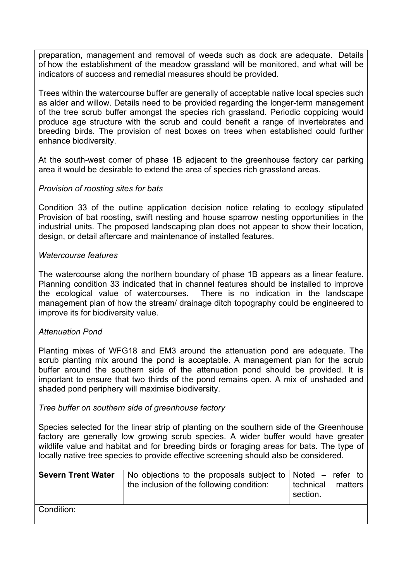preparation, management and removal of weeds such as dock are adequate. Details of how the establishment of the meadow grassland will be monitored, and what will be indicators of success and remedial measures should be provided.

Trees within the watercourse buffer are generally of acceptable native local species such as alder and willow. Details need to be provided regarding the longer-term management of the tree scrub buffer amongst the species rich grassland. Periodic coppicing would produce age structure with the scrub and could benefit a range of invertebrates and breeding birds. The provision of nest boxes on trees when established could further enhance biodiversity.

At the south-west corner of phase 1B adjacent to the greenhouse factory car parking area it would be desirable to extend the area of species rich grassland areas.

#### *Provision of roosting sites for bats*

Condition 33 of the outline application decision notice relating to ecology stipulated Provision of bat roosting, swift nesting and house sparrow nesting opportunities in the industrial units. The proposed landscaping plan does not appear to show their location, design, or detail aftercare and maintenance of installed features.

#### *Watercourse features*

The watercourse along the northern boundary of phase 1B appears as a linear feature. Planning condition 33 indicated that in channel features should be installed to improve the ecological value of watercourses. There is no indication in the landscape management plan of how the stream/ drainage ditch topography could be engineered to improve its for biodiversity value.

#### *Attenuation Pond*

Planting mixes of WFG18 and EM3 around the attenuation pond are adequate. The scrub planting mix around the pond is acceptable. A management plan for the scrub buffer around the southern side of the attenuation pond should be provided. It is important to ensure that two thirds of the pond remains open. A mix of unshaded and shaded pond periphery will maximise biodiversity.

*Tree buffer on southern side of greenhouse factory*

Species selected for the linear strip of planting on the southern side of the Greenhouse factory are generally low growing scrub species. A wider buffer would have greater wildlife value and habitat and for breeding birds or foraging areas for bats. The type of locally native tree species to provide effective screening should also be considered.

| <b>Severn Trent Water</b> | No objections to the proposals subject to $\vert$ Noted – refer to<br>the inclusion of the following condition: | technical<br>section. | matters |
|---------------------------|-----------------------------------------------------------------------------------------------------------------|-----------------------|---------|
| Condition:                |                                                                                                                 |                       |         |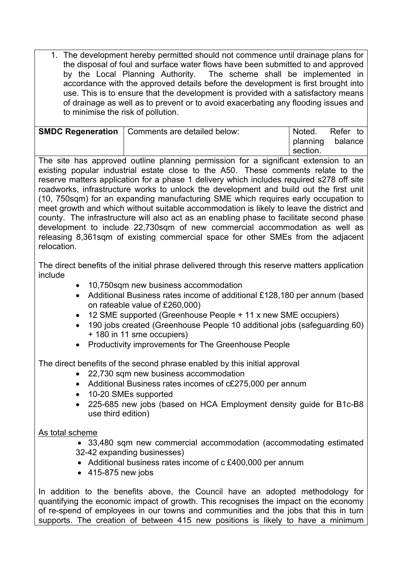1. The development hereby permitted should not commence until drainage plans for the disposal of foul and surface water flows have been submitted to and approved by the Local Planning Authority. The scheme shall be implemented in accordance with the approved details before the development is first brought into use. This is to ensure that the development is provided with a satisfactory means of drainage as well as to prevent or to avoid exacerbating any flooding issues and to minimise the risk of pollution.

| <b>SMDC Regeneration</b>   Comments are detailed below: | Noted.   | Refer to         |
|---------------------------------------------------------|----------|------------------|
|                                                         | section. | planning balance |

The site has approved outline planning permission for a significant extension to an existing popular industrial estate close to the A50. These comments relate to the reserve matters application for a phase 1 delivery which includes required s278 off site roadworks, infrastructure works to unlock the development and build out the first unit (10, 750sqm) for an expanding manufacturing SME which requires early occupation to meet growth and which without suitable accommodation is likely to leave the district and county. The infrastructure will also act as an enabling phase to facilitate second phase development to include 22,730sqm of new commercial accommodation as well as releasing 8,361sqm of existing commercial space for other SMEs from the adjacent relocation.

The direct benefits of the initial phrase delivered through this reserve matters application include

- 10,750sqm new business accommodation
- Additional Business rates income of additional £128,180 per annum (based on rateable value of £260,000)
- 12 SME supported (Greenhouse People + 11 x new SME occupiers)
- 190 jobs created (Greenhouse People 10 additional jobs (safeguarding 60) + 180 in 11 sme occupiers)
- Productivity improvements for The Greenhouse People

The direct benefits of the second phrase enabled by this initial approval

- 22,730 sqm new business accommodation
- Additional Business rates incomes of c£275,000 per annum
- 10-20 SMEs supported
- 225-685 new jobs (based on HCA Employment density guide for B1c-B8 use third edition)

# As total scheme

- 33,480 sqm new commercial accommodation (accommodating estimated 32-42 expanding businesses)
- Additional business rates income of c £400,000 per annum
- $-415-875$  new jobs

In addition to the benefits above, the Council have an adopted methodology for quantifying the economic impact of growth. This recognises the impact on the economy of re-spend of employees in our towns and communities and the jobs that this in turn supports. The creation of between 415 new positions is likely to have a minimum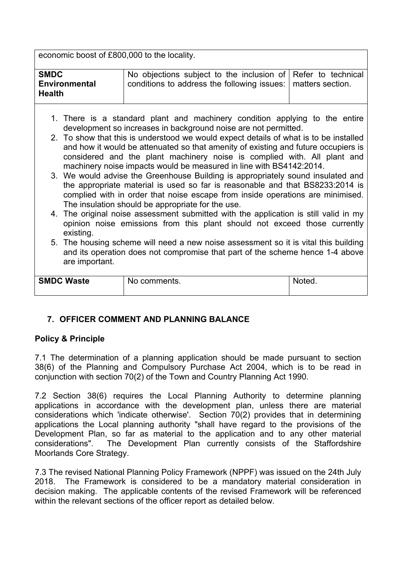economic boost of £800,000 to the locality.

| <b>SMDC</b>   | No objections subject to the inclusion of                                                                                                                                                                                                                                                                                                                                                                                                                                                                                                                                                                                                                                                                                                                                                                                                                                                                                                                        | Refer to technical |  |  |  |
|---------------|------------------------------------------------------------------------------------------------------------------------------------------------------------------------------------------------------------------------------------------------------------------------------------------------------------------------------------------------------------------------------------------------------------------------------------------------------------------------------------------------------------------------------------------------------------------------------------------------------------------------------------------------------------------------------------------------------------------------------------------------------------------------------------------------------------------------------------------------------------------------------------------------------------------------------------------------------------------|--------------------|--|--|--|
| <b>Health</b> | conditions to address the following issues:<br><b>Environmental</b><br>matters section.                                                                                                                                                                                                                                                                                                                                                                                                                                                                                                                                                                                                                                                                                                                                                                                                                                                                          |                    |  |  |  |
| existing.     | 1. There is a standard plant and machinery condition applying to the entire<br>development so increases in background noise are not permitted.<br>2. To show that this is understood we would expect details of what is to be installed<br>and how it would be attenuated so that amenity of existing and future occupiers is<br>considered and the plant machinery noise is complied with. All plant and<br>machinery noise impacts would be measured in line with BS4142:2014.<br>3. We would advise the Greenhouse Building is appropriately sound insulated and<br>the appropriate material is used so far is reasonable and that BS8233:2014 is<br>complied with in order that noise escape from inside operations are minimised.<br>The insulation should be appropriate for the use.<br>4. The original noise assessment submitted with the application is still valid in my<br>opinion noise emissions from this plant should not exceed those currently |                    |  |  |  |

5. The housing scheme will need a new noise assessment so it is vital this building and its operation does not compromise that part of the scheme hence 1-4 above are important.

| <b>SMDC Waste</b> | No comments. | Notea. |
|-------------------|--------------|--------|
|                   |              |        |
|                   |              |        |

# **7. OFFICER COMMENT AND PLANNING BALANCE**

# **Policy & Principle**

7.1 The determination of a planning application should be made pursuant to section 38(6) of the Planning and Compulsory Purchase Act 2004, which is to be read in conjunction with section 70(2) of the Town and Country Planning Act 1990.

7.2 Section 38(6) requires the Local Planning Authority to determine planning applications in accordance with the development plan, unless there are material considerations which 'indicate otherwise'. Section 70(2) provides that in determining applications the Local planning authority "shall have regard to the provisions of the Development Plan, so far as material to the application and to any other material considerations" The Development Plan currently consists of the Staffordshire The Development Plan currently consists of the Staffordshire Moorlands Core Strategy.

7.3 The revised National Planning Policy Framework (NPPF) was issued on the 24th July 2018. The Framework is considered to be a mandatory material consideration in decision making. The applicable contents of the revised Framework will be referenced within the relevant sections of the officer report as detailed below.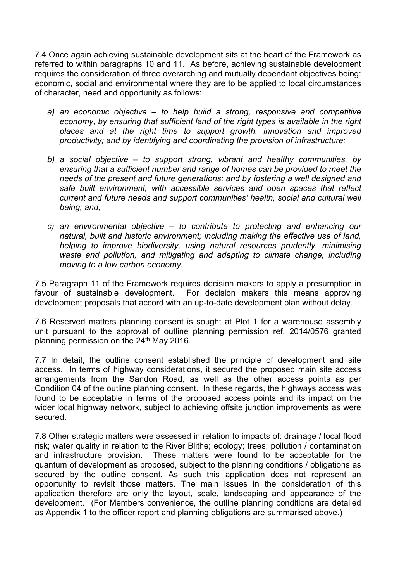7.4 Once again achieving sustainable development sits at the heart of the Framework as referred to within paragraphs 10 and 11. As before, achieving sustainable development requires the consideration of three overarching and mutually dependant objectives being: economic, social and environmental where they are to be applied to local circumstances of character, need and opportunity as follows:

- *a) an economic objective – to help build a strong, responsive and competitive economy, by ensuring that sufficient land of the right types is available in the right places and at the right time to support growth, innovation and improved productivity; and by identifying and coordinating the provision of infrastructure;*
- *b) a social objective – to support strong, vibrant and healthy communities, by ensuring that a sufficient number and range of homes can be provided to meet the needs of the present and future generations; and by fostering a well designed and safe built environment, with accessible services and open spaces that reflect current and future needs and support communities' health, social and cultural well being; and,*
- *c) an environmental objective – to contribute to protecting and enhancing our natural, built and historic environment; including making the effective use of land, helping to improve biodiversity, using natural resources prudently, minimising waste and pollution, and mitigating and adapting to climate change, including moving to a low carbon economy.*

7.5 Paragraph 11 of the Framework requires decision makers to apply a presumption in favour of sustainable development. For decision makers this means approving development proposals that accord with an up-to-date development plan without delay.

7.6 Reserved matters planning consent is sought at Plot 1 for a warehouse assembly unit pursuant to the approval of outline planning permission ref. 2014/0576 granted planning permission on the 24<sup>th</sup> May 2016.

7.7 In detail, the outline consent established the principle of development and site access. In terms of highway considerations, it secured the proposed main site access arrangements from the Sandon Road, as well as the other access points as per Condition 04 of the outline planning consent. In these regards, the highways access was found to be acceptable in terms of the proposed access points and its impact on the wider local highway network, subject to achieving offsite junction improvements as were secured.

7.8 Other strategic matters were assessed in relation to impacts of: drainage / local flood risk; water quality in relation to the River Blithe; ecology; trees; pollution / contamination and infrastructure provision. These matters were found to be acceptable for the quantum of development as proposed, subject to the planning conditions / obligations as secured by the outline consent. As such this application does not represent an opportunity to revisit those matters. The main issues in the consideration of this application therefore are only the layout, scale, landscaping and appearance of the development. (For Members convenience, the outline planning conditions are detailed as Appendix 1 to the officer report and planning obligations are summarised above.)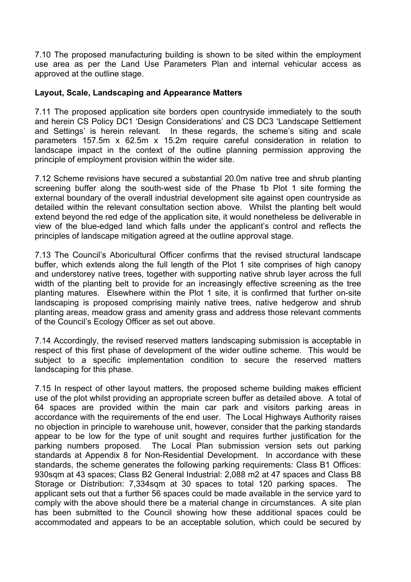7.10 The proposed manufacturing building is shown to be sited within the employment use area as per the Land Use Parameters Plan and internal vehicular access as approved at the outline stage.

#### **Layout, Scale, Landscaping and Appearance Matters**

7.11 The proposed application site borders open countryside immediately to the south and herein CS Policy DC1 'Design Considerations' and CS DC3 'Landscape Settlement and Settings' is herein relevant. In these regards, the scheme's siting and scale parameters 157.5m x 62.5m x 15.2m require careful consideration in relation to landscape impact in the context of the outline planning permission approving the principle of employment provision within the wider site.

7.12 Scheme revisions have secured a substantial 20.0m native tree and shrub planting screening buffer along the south-west side of the Phase 1b Plot 1 site forming the external boundary of the overall industrial development site against open countryside as detailed within the relevant consultation section above. Whilst the planting belt would extend beyond the red edge of the application site, it would nonetheless be deliverable in view of the blue-edged land which falls under the applicant's control and reflects the principles of landscape mitigation agreed at the outline approval stage.

7.13 The Council's Aboricultural Officer confirms that the revised structural landscape buffer, which extends along the full length of the Plot 1 site comprises of high canopy and understorey native trees, together with supporting native shrub layer across the full width of the planting belt to provide for an increasingly effective screening as the tree planting matures. Elsewhere within the Plot 1 site, it is confirmed that further on-site landscaping is proposed comprising mainly native trees, native hedgerow and shrub planting areas, meadow grass and amenity grass and address those relevant comments of the Council's Ecology Officer as set out above.

7.14 Accordingly, the revised reserved matters landscaping submission is acceptable in respect of this first phase of development of the wider outline scheme. This would be subject to a specific implementation condition to secure the reserved matters landscaping for this phase.

7.15 In respect of other layout matters, the proposed scheme building makes efficient use of the plot whilst providing an appropriate screen buffer as detailed above. A total of 64 spaces are provided within the main car park and visitors parking areas in accordance with the requirements of the end user. The Local Highways Authority raises no objection in principle to warehouse unit, however, consider that the parking standards appear to be low for the type of unit sought and requires further justification for the parking numbers proposed. The Local Plan submission version sets out parking standards at Appendix 8 for Non-Residential Development. In accordance with these standards, the scheme generates the following parking requirements: Class B1 Offices: 930sqm at 43 spaces; Class B2 General Industrial: 2,088 m2 at 47 spaces and Class B8 Storage or Distribution: 7,334sqm at 30 spaces to total 120 parking spaces. The applicant sets out that a further 56 spaces could be made available in the service yard to comply with the above should there be a material change in circumstances. A site plan has been submitted to the Council showing how these additional spaces could be accommodated and appears to be an acceptable solution, which could be secured by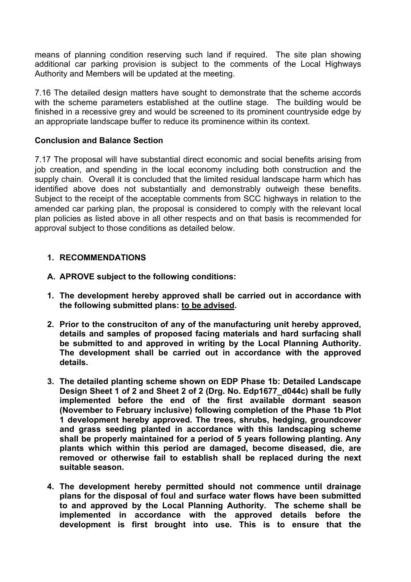means of planning condition reserving such land if required. The site plan showing additional car parking provision is subject to the comments of the Local Highways Authority and Members will be updated at the meeting.

7.16 The detailed design matters have sought to demonstrate that the scheme accords with the scheme parameters established at the outline stage. The building would be finished in a recessive grey and would be screened to its prominent countryside edge by an appropriate landscape buffer to reduce its prominence within its context.

#### **Conclusion and Balance Section**

7.17 The proposal will have substantial direct economic and social benefits arising from job creation, and spending in the local economy including both construction and the supply chain. Overall it is concluded that the limited residual landscape harm which has identified above does not substantially and demonstrably outweigh these benefits. Subject to the receipt of the acceptable comments from SCC highways in relation to the amended car parking plan, the proposal is considered to comply with the relevant local plan policies as listed above in all other respects and on that basis is recommended for approval subject to those conditions as detailed below.

#### **1. RECOMMENDATIONS**

- **A. APROVE subject to the following conditions:**
- **1. The development hereby approved shall be carried out in accordance with the following submitted plans: to be advised.**
- **2. Prior to the construciton of any of the manufacturing unit hereby approved, details and samples of proposed facing materials and hard surfacing shall be submitted to and approved in writing by the Local Planning Authority. The development shall be carried out in accordance with the approved details.**
- **3. The detailed planting scheme shown on EDP Phase 1b: Detailed Landscape Design Sheet 1 of 2 and Sheet 2 of 2 (Drg. No. Edp1677\_d044c) shall be fully implemented before the end of the first available dormant season (November to February inclusive) following completion of the Phase 1b Plot 1 development hereby approved. The trees, shrubs, hedging, groundcover and grass seeding planted in accordance with this landscaping scheme shall be properly maintained for a period of 5 years following planting. Any plants which within this period are damaged, become diseased, die, are removed or otherwise fail to establish shall be replaced during the next suitable season.**
- **4. The development hereby permitted should not commence until drainage plans for the disposal of foul and surface water flows have been submitted to and approved by the Local Planning Authority. The scheme shall be implemented in accordance with the approved details before the development is first brought into use. This is to ensure that the**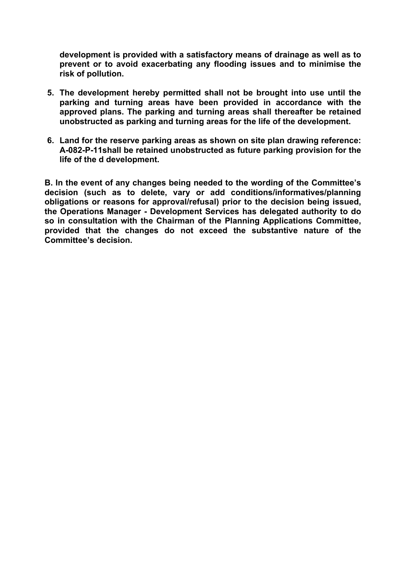**development is provided with a satisfactory means of drainage as well as to prevent or to avoid exacerbating any flooding issues and to minimise the risk of pollution.**

- **5. The development hereby permitted shall not be brought into use until the parking and turning areas have been provided in accordance with the approved plans. The parking and turning areas shall thereafter be retained unobstructed as parking and turning areas for the life of the development.**
- **6. Land for the reserve parking areas as shown on site plan drawing reference: A-082-P-11shall be retained unobstructed as future parking provision for the life of the d development.**

**B. In the event of any changes being needed to the wording of the Committee's decision (such as to delete, vary or add conditions/informatives/planning obligations or reasons for approval/refusal) prior to the decision being issued, the Operations Manager - Development Services has delegated authority to do so in consultation with the Chairman of the Planning Applications Committee, provided that the changes do not exceed the substantive nature of the Committee's decision.**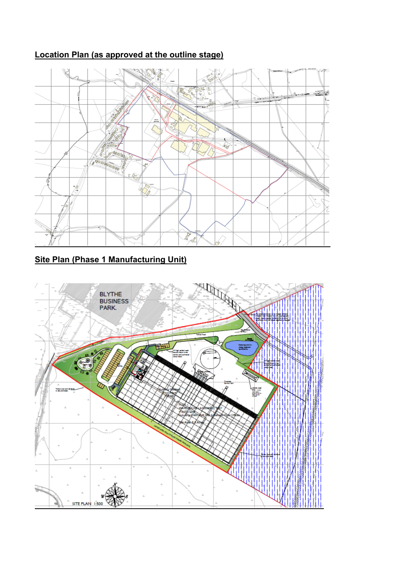# **Location Plan (as approved at the outline stage)**



# **Site Plan (Phase 1 Manufacturing Unit)**

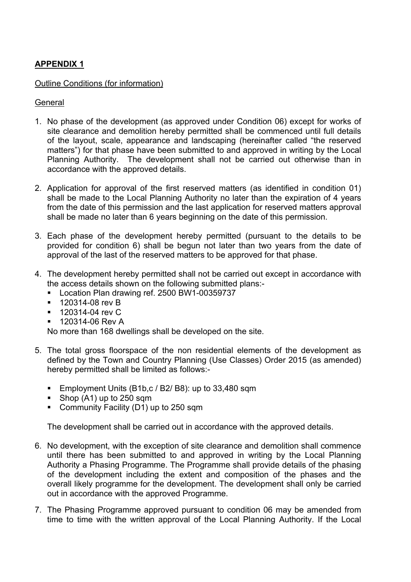# **APPENDIX 1**

#### Outline Conditions (for information)

#### **General**

- 1. No phase of the development (as approved under Condition 06) except for works of site clearance and demolition hereby permitted shall be commenced until full details of the layout, scale, appearance and landscaping (hereinafter called "the reserved matters") for that phase have been submitted to and approved in writing by the Local Planning Authority. The development shall not be carried out otherwise than in accordance with the approved details.
- 2. Application for approval of the first reserved matters (as identified in condition 01) shall be made to the Local Planning Authority no later than the expiration of 4 years from the date of this permission and the last application for reserved matters approval shall be made no later than 6 years beginning on the date of this permission.
- 3. Each phase of the development hereby permitted (pursuant to the details to be provided for condition 6) shall be begun not later than two years from the date of approval of the last of the reserved matters to be approved for that phase.
- 4. The development hereby permitted shall not be carried out except in accordance with the access details shown on the following submitted plans:-
	- Location Plan drawing ref. 2500 BW1-00359737
	- **120314-08 rev B**
	- **120314-04 rev C**
	- 120314-06 Rev A

No more than 168 dwellings shall be developed on the site.

- 5. The total gross floorspace of the non residential elements of the development as defined by the Town and Country Planning (Use Classes) Order 2015 (as amended) hereby permitted shall be limited as follows:-
	- **Employment Units (B1b,c / B2/ B8): up to 33,480 sqm**
	- Shop (A1) up to 250 sqm
	- Community Facility (D1) up to 250 sqm

The development shall be carried out in accordance with the approved details.

- 6. No development, with the exception of site clearance and demolition shall commence until there has been submitted to and approved in writing by the Local Planning Authority a Phasing Programme. The Programme shall provide details of the phasing of the development including the extent and composition of the phases and the overall likely programme for the development. The development shall only be carried out in accordance with the approved Programme.
- 7. The Phasing Programme approved pursuant to condition 06 may be amended from time to time with the written approval of the Local Planning Authority. If the Local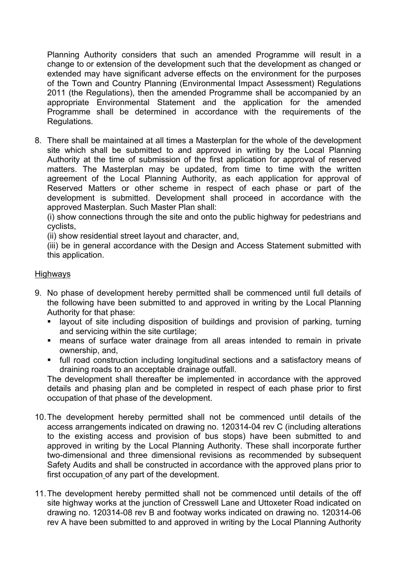Planning Authority considers that such an amended Programme will result in a change to or extension of the development such that the development as changed or extended may have significant adverse effects on the environment for the purposes of the Town and Country Planning (Environmental Impact Assessment) Regulations 2011 (the Regulations), then the amended Programme shall be accompanied by an appropriate Environmental Statement and the application for the amended Programme shall be determined in accordance with the requirements of the Regulations.

8. There shall be maintained at all times a Masterplan for the whole of the development site which shall be submitted to and approved in writing by the Local Planning Authority at the time of submission of the first application for approval of reserved matters. The Masterplan may be updated, from time to time with the written agreement of the Local Planning Authority, as each application for approval of Reserved Matters or other scheme in respect of each phase or part of the development is submitted. Development shall proceed in accordance with the approved Masterplan. Such Master Plan shall:

(i) show connections through the site and onto the public highway for pedestrians and cyclists,

(ii) show residential street layout and character, and,

(iii) be in general accordance with the Design and Access Statement submitted with this application.

#### Highways

- 9. No phase of development hereby permitted shall be commenced until full details of the following have been submitted to and approved in writing by the Local Planning Authority for that phase:
	- layout of site including disposition of buildings and provision of parking, turning and servicing within the site curtilage;
	- means of surface water drainage from all areas intended to remain in private ownership, and,
	- full road construction including longitudinal sections and a satisfactory means of draining roads to an acceptable drainage outfall.

The development shall thereafter be implemented in accordance with the approved details and phasing plan and be completed in respect of each phase prior to first occupation of that phase of the development.

- 10.The development hereby permitted shall not be commenced until details of the access arrangements indicated on drawing no. 120314-04 rev C (including alterations to the existing access and provision of bus stops) have been submitted to and approved in writing by the Local Planning Authority. These shall incorporate further two-dimensional and three dimensional revisions as recommended by subsequent Safety Audits and shall be constructed in accordance with the approved plans prior to first occupation of any part of the development.
- 11.The development hereby permitted shall not be commenced until details of the off site highway works at the junction of Cresswell Lane and Uttoxeter Road indicated on drawing no. 120314-08 rev B and footway works indicated on drawing no. 120314-06 rev A have been submitted to and approved in writing by the Local Planning Authority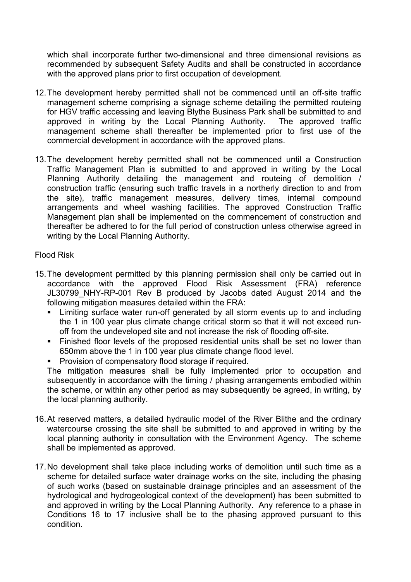which shall incorporate further two-dimensional and three dimensional revisions as recommended by subsequent Safety Audits and shall be constructed in accordance with the approved plans prior to first occupation of development.

- 12.The development hereby permitted shall not be commenced until an off-site traffic management scheme comprising a signage scheme detailing the permitted routeing for HGV traffic accessing and leaving Blythe Business Park shall be submitted to and approved in writing by the Local Planning Authority. The approved traffic management scheme shall thereafter be implemented prior to first use of the commercial development in accordance with the approved plans.
- 13.The development hereby permitted shall not be commenced until a Construction Traffic Management Plan is submitted to and approved in writing by the Local Planning Authority detailing the management and routeing of demolition / construction traffic (ensuring such traffic travels in a northerly direction to and from the site), traffic management measures, delivery times, internal compound arrangements and wheel washing facilities. The approved Construction Traffic Management plan shall be implemented on the commencement of construction and thereafter be adhered to for the full period of construction unless otherwise agreed in writing by the Local Planning Authority.

#### Flood Risk

- 15.The development permitted by this planning permission shall only be carried out in accordance with the approved Flood Risk Assessment (FRA) reference JL30799 NHY-RP-001 Rev B produced by Jacobs dated August 2014 and the following mitigation measures detailed within the FRA:
	- Limiting surface water run-off generated by all storm events up to and including the 1 in 100 year plus climate change critical storm so that it will not exceed runoff from the undeveloped site and not increase the risk of flooding off-site.
	- Finished floor levels of the proposed residential units shall be set no lower than 650mm above the 1 in 100 year plus climate change flood level.
	- Provision of compensatory flood storage if required.

The mitigation measures shall be fully implemented prior to occupation and subsequently in accordance with the timing / phasing arrangements embodied within the scheme, or within any other period as may subsequently be agreed, in writing, by the local planning authority.

- 16.At reserved matters, a detailed hydraulic model of the River Blithe and the ordinary watercourse crossing the site shall be submitted to and approved in writing by the local planning authority in consultation with the Environment Agency. The scheme shall be implemented as approved.
- 17.No development shall take place including works of demolition until such time as a scheme for detailed surface water drainage works on the site, including the phasing of such works (based on sustainable drainage principles and an assessment of the hydrological and hydrogeological context of the development) has been submitted to and approved in writing by the Local Planning Authority. Any reference to a phase in Conditions 16 to 17 inclusive shall be to the phasing approved pursuant to this condition.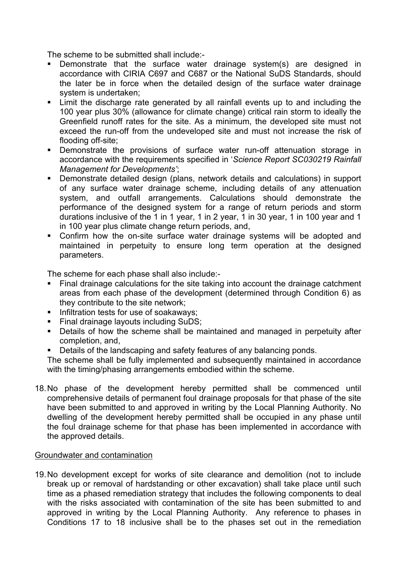The scheme to be submitted shall include:-

- Demonstrate that the surface water drainage system(s) are designed in accordance with CIRIA C697 and C687 or the National SuDS Standards, should the later be in force when the detailed design of the surface water drainage system is undertaken;
- Limit the discharge rate generated by all rainfall events up to and including the 100 year plus 30% (allowance for climate change) critical rain storm to ideally the Greenfield runoff rates for the site. As a minimum, the developed site must not exceed the run-off from the undeveloped site and must not increase the risk of flooding off-site;
- Demonstrate the provisions of surface water run-off attenuation storage in accordance with the requirements specified in '*Science Report SC030219 Rainfall Management for Developments'*;
- Demonstrate detailed design (plans, network details and calculations) in support of any surface water drainage scheme, including details of any attenuation system, and outfall arrangements. Calculations should demonstrate the performance of the designed system for a range of return periods and storm durations inclusive of the 1 in 1 year, 1 in 2 year, 1 in 30 year, 1 in 100 year and 1 in 100 year plus climate change return periods, and,
- Confirm how the on-site surface water drainage systems will be adopted and maintained in perpetuity to ensure long term operation at the designed parameters.

The scheme for each phase shall also include:-

- Final drainage calculations for the site taking into account the drainage catchment areas from each phase of the development (determined through Condition 6) as they contribute to the site network;
- Infiltration tests for use of soakaways;
- **Final drainage layouts including SuDS:**
- Details of how the scheme shall be maintained and managed in perpetuity after completion, and,
- Details of the landscaping and safety features of any balancing ponds.

The scheme shall be fully implemented and subsequently maintained in accordance with the timing/phasing arrangements embodied within the scheme.

18.No phase of the development hereby permitted shall be commenced until comprehensive details of permanent foul drainage proposals for that phase of the site have been submitted to and approved in writing by the Local Planning Authority. No dwelling of the development hereby permitted shall be occupied in any phase until the foul drainage scheme for that phase has been implemented in accordance with the approved details.

#### Groundwater and contamination

19.No development except for works of site clearance and demolition (not to include break up or removal of hardstanding or other excavation) shall take place until such time as a phased remediation strategy that includes the following components to deal with the risks associated with contamination of the site has been submitted to and approved in writing by the Local Planning Authority. Any reference to phases in Conditions 17 to 18 inclusive shall be to the phases set out in the remediation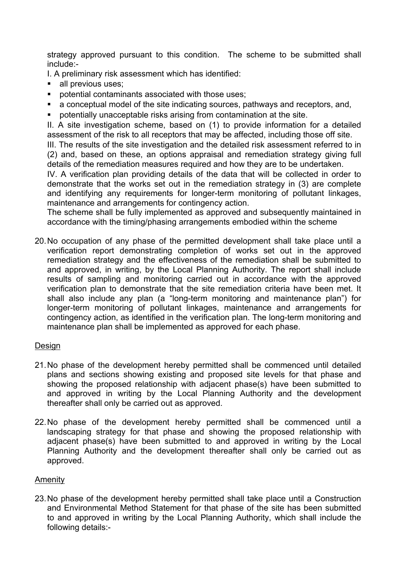strategy approved pursuant to this condition. The scheme to be submitted shall include:-

I. A preliminary risk assessment which has identified:

- all previous uses;
- potential contaminants associated with those uses;
- a conceptual model of the site indicating sources, pathways and receptors, and,
- potentially unacceptable risks arising from contamination at the site.

II. A site investigation scheme, based on (1) to provide information for a detailed assessment of the risk to all receptors that may be affected, including those off site.

III. The results of the site investigation and the detailed risk assessment referred to in (2) and, based on these, an options appraisal and remediation strategy giving full details of the remediation measures required and how they are to be undertaken.

IV. A verification plan providing details of the data that will be collected in order to demonstrate that the works set out in the remediation strategy in (3) are complete and identifying any requirements for longer-term monitoring of pollutant linkages, maintenance and arrangements for contingency action.

The scheme shall be fully implemented as approved and subsequently maintained in accordance with the timing/phasing arrangements embodied within the scheme

20.No occupation of any phase of the permitted development shall take place until a verification report demonstrating completion of works set out in the approved remediation strategy and the effectiveness of the remediation shall be submitted to and approved, in writing, by the Local Planning Authority. The report shall include results of sampling and monitoring carried out in accordance with the approved verification plan to demonstrate that the site remediation criteria have been met. It shall also include any plan (a "long-term monitoring and maintenance plan") for longer-term monitoring of pollutant linkages, maintenance and arrangements for contingency action, as identified in the verification plan. The long-term monitoring and maintenance plan shall be implemented as approved for each phase.

#### Design

- 21.No phase of the development hereby permitted shall be commenced until detailed plans and sections showing existing and proposed site levels for that phase and showing the proposed relationship with adjacent phase(s) have been submitted to and approved in writing by the Local Planning Authority and the development thereafter shall only be carried out as approved.
- 22.No phase of the development hereby permitted shall be commenced until a landscaping strategy for that phase and showing the proposed relationship with adjacent phase(s) have been submitted to and approved in writing by the Local Planning Authority and the development thereafter shall only be carried out as approved.

#### Amenity

23.No phase of the development hereby permitted shall take place until a Construction and Environmental Method Statement for that phase of the site has been submitted to and approved in writing by the Local Planning Authority, which shall include the following details:-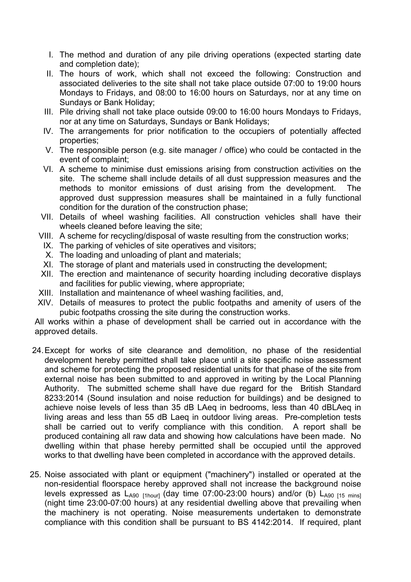- I. The method and duration of any pile driving operations (expected starting date and completion date);
- II. The hours of work, which shall not exceed the following: Construction and associated deliveries to the site shall not take place outside 07:00 to 19:00 hours Mondays to Fridays, and 08:00 to 16:00 hours on Saturdays, nor at any time on Sundays or Bank Holiday;
- III. Pile driving shall not take place outside 09:00 to 16:00 hours Mondays to Fridays, nor at any time on Saturdays, Sundays or Bank Holidays;
- IV. The arrangements for prior notification to the occupiers of potentially affected properties;
- V. The responsible person (e.g. site manager / office) who could be contacted in the event of complaint;
- VI. A scheme to minimise dust emissions arising from construction activities on the site. The scheme shall include details of all dust suppression measures and the methods to monitor emissions of dust arising from the development. The approved dust suppression measures shall be maintained in a fully functional condition for the duration of the construction phase;
- VII. Details of wheel washing facilities. All construction vehicles shall have their wheels cleaned before leaving the site;
- VIII. A scheme for recycling/disposal of waste resulting from the construction works;
- IX. The parking of vehicles of site operatives and visitors;
- X. The loading and unloading of plant and materials;
- XI. The storage of plant and materials used in constructing the development;
- XII. The erection and maintenance of security hoarding including decorative displays and facilities for public viewing, where appropriate;
- XIII. Installation and maintenance of wheel washing facilities, and,
- XIV. Details of measures to protect the public footpaths and amenity of users of the pubic footpaths crossing the site during the construction works.

All works within a phase of development shall be carried out in accordance with the approved details.

- 24.Except for works of site clearance and demolition, no phase of the residential development hereby permitted shall take place until a site specific noise assessment and scheme for protecting the proposed residential units for that phase of the site from external noise has been submitted to and approved in writing by the Local Planning Authority. The submitted scheme shall have due regard for the British Standard 8233:2014 (Sound insulation and noise reduction for buildings) and be designed to achieve noise levels of less than 35 dB LAeq in bedrooms, less than 40 dBLAeq in living areas and less than 55 dB Laeq in outdoor living areas. Pre-completion tests shall be carried out to verify compliance with this condition. A report shall be produced containing all raw data and showing how calculations have been made. No dwelling within that phase hereby permitted shall be occupied until the approved works to that dwelling have been completed in accordance with the approved details.
- 25. Noise associated with plant or equipment ("machinery") installed or operated at the non-residential floorspace hereby approved shall not increase the background noise levels expressed as  $L_{A90\text{ [1hour]}}$  (day time 07:00-23:00 hours) and/or (b)  $L_{A90\text{ [15 mins]}}$ (night time 23:00-07:00 hours) at any residential dwelling above that prevailing when the machinery is not operating. Noise measurements undertaken to demonstrate compliance with this condition shall be pursuant to BS 4142:2014. If required, plant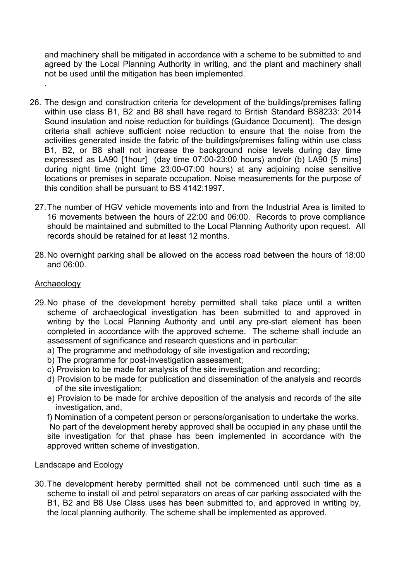and machinery shall be mitigated in accordance with a scheme to be submitted to and agreed by the Local Planning Authority in writing, and the plant and machinery shall not be used until the mitigation has been implemented.

- 26. The design and construction criteria for development of the buildings/premises falling within use class B1, B2 and B8 shall have regard to British Standard BS8233; 2014 Sound insulation and noise reduction for buildings (Guidance Document). The design criteria shall achieve sufficient noise reduction to ensure that the noise from the activities generated inside the fabric of the buildings/premises falling within use class B1, B2, or B8 shall not increase the background noise levels during day time expressed as LA90 [1hour] (day time 07:00-23:00 hours) and/or (b) LA90 [5 mins] during night time (night time 23:00-07:00 hours) at any adjoining noise sensitive locations or premises in separate occupation. Noise measurements for the purpose of this condition shall be pursuant to BS 4142:1997.
	- 27.The number of HGV vehicle movements into and from the Industrial Area is limited to 16 movements between the hours of 22:00 and 06:00. Records to prove compliance should be maintained and submitted to the Local Planning Authority upon request. All records should be retained for at least 12 months.
	- 28.No overnight parking shall be allowed on the access road between the hours of 18:00 and 06:00.

#### Archaeology

.

- 29.No phase of the development hereby permitted shall take place until a written scheme of archaeological investigation has been submitted to and approved in writing by the Local Planning Authority and until any pre-start element has been completed in accordance with the approved scheme. The scheme shall include an assessment of significance and research questions and in particular:
	- a) The programme and methodology of site investigation and recording;
	- b) The programme for post-investigation assessment;
	- c) Provision to be made for analysis of the site investigation and recording;
	- d) Provision to be made for publication and dissemination of the analysis and records of the site investigation;
	- e) Provision to be made for archive deposition of the analysis and records of the site investigation, and,
	- f) Nomination of a competent person or persons/organisation to undertake the works.

No part of the development hereby approved shall be occupied in any phase until the site investigation for that phase has been implemented in accordance with the approved written scheme of investigation.

#### Landscape and Ecology

30.The development hereby permitted shall not be commenced until such time as a scheme to install oil and petrol separators on areas of car parking associated with the B1, B2 and B8 Use Class uses has been submitted to, and approved in writing by, the local planning authority. The scheme shall be implemented as approved.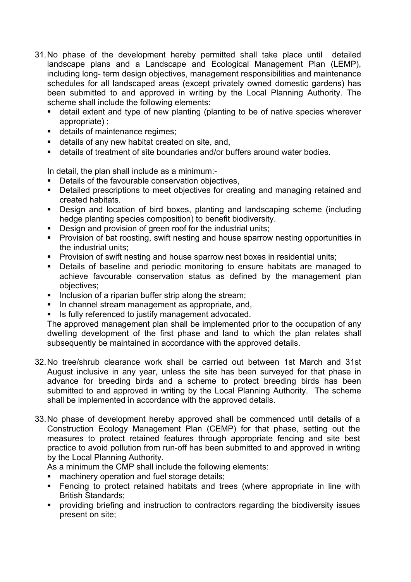- 31.No phase of the development hereby permitted shall take place until detailed landscape plans and a Landscape and Ecological Management Plan (LEMP), including long- term design objectives, management responsibilities and maintenance schedules for all landscaped areas (except privately owned domestic gardens) has been submitted to and approved in writing by the Local Planning Authority. The scheme shall include the following elements:
	- detail extent and type of new planting (planting to be of native species wherever appropriate) ;
	- details of maintenance regimes;
	- details of any new habitat created on site, and,
	- details of treatment of site boundaries and/or buffers around water bodies.

In detail, the plan shall include as a minimum:-

- Details of the favourable conservation objectives,
- Detailed prescriptions to meet objectives for creating and managing retained and created habitats.
- Design and location of bird boxes, planting and landscaping scheme (including hedge planting species composition) to benefit biodiversity.
- Design and provision of green roof for the industrial units;
- **Provision of bat roosting, swift nesting and house sparrow nesting opportunities in** the industrial units;
- **Provision of swift nesting and house sparrow nest boxes in residential units;**
- Details of baseline and periodic monitoring to ensure habitats are managed to achieve favourable conservation status as defined by the management plan objectives;
- Inclusion of a riparian buffer strip along the stream;
- In channel stream management as appropriate, and,
- Is fully referenced to justify management advocated.

The approved management plan shall be implemented prior to the occupation of any dwelling development of the first phase and land to which the plan relates shall subsequently be maintained in accordance with the approved details.

- 32.No tree/shrub clearance work shall be carried out between 1st March and 31st August inclusive in any year, unless the site has been surveyed for that phase in advance for breeding birds and a scheme to protect breeding birds has been submitted to and approved in writing by the Local Planning Authority. The scheme shall be implemented in accordance with the approved details.
- 33.No phase of development hereby approved shall be commenced until details of a Construction Ecology Management Plan (CEMP) for that phase, setting out the measures to protect retained features through appropriate fencing and site best practice to avoid pollution from run-off has been submitted to and approved in writing by the Local Planning Authority.

As a minimum the CMP shall include the following elements:

- machinery operation and fuel storage details;
- Fencing to protect retained habitats and trees (where appropriate in line with British Standards;
- providing briefing and instruction to contractors regarding the biodiversity issues present on site;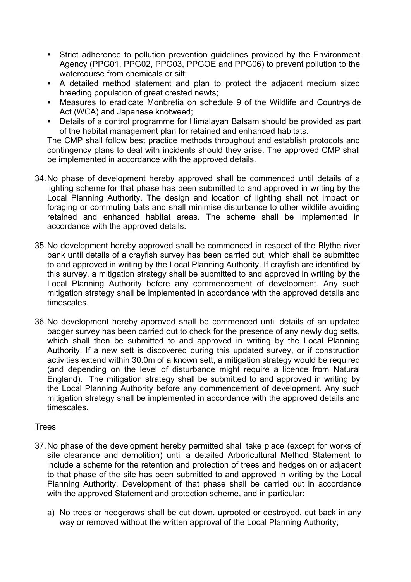- Strict adherence to pollution prevention guidelines provided by the Environment Agency (PPG01, PPG02, PPG03, PPGOE and PPG06) to prevent pollution to the watercourse from chemicals or silt;
- A detailed method statement and plan to protect the adjacent medium sized breeding population of great crested newts;
- Measures to eradicate Monbretia on schedule 9 of the Wildlife and Countryside Act (WCA) and Japanese knotweed;
- Details of a control programme for Himalayan Balsam should be provided as part of the habitat management plan for retained and enhanced habitats.

The CMP shall follow best practice methods throughout and establish protocols and contingency plans to deal with incidents should they arise. The approved CMP shall be implemented in accordance with the approved details.

- 34.No phase of development hereby approved shall be commenced until details of a lighting scheme for that phase has been submitted to and approved in writing by the Local Planning Authority. The design and location of lighting shall not impact on foraging or commuting bats and shall minimise disturbance to other wildlife avoiding retained and enhanced habitat areas. The scheme shall be implemented in accordance with the approved details.
- 35.No development hereby approved shall be commenced in respect of the Blythe river bank until details of a crayfish survey has been carried out, which shall be submitted to and approved in writing by the Local Planning Authority. If crayfish are identified by this survey, a mitigation strategy shall be submitted to and approved in writing by the Local Planning Authority before any commencement of development. Any such mitigation strategy shall be implemented in accordance with the approved details and timescales.
- 36.No development hereby approved shall be commenced until details of an updated badger survey has been carried out to check for the presence of any newly dug setts, which shall then be submitted to and approved in writing by the Local Planning Authority. If a new sett is discovered during this updated survey, or if construction activities extend within 30.0m of a known sett, a mitigation strategy would be required (and depending on the level of disturbance might require a licence from Natural England). The mitigation strategy shall be submitted to and approved in writing by the Local Planning Authority before any commencement of development. Any such mitigation strategy shall be implemented in accordance with the approved details and timescales.

#### Trees

- 37.No phase of the development hereby permitted shall take place (except for works of site clearance and demolition) until a detailed Arboricultural Method Statement to include a scheme for the retention and protection of trees and hedges on or adjacent to that phase of the site has been submitted to and approved in writing by the Local Planning Authority. Development of that phase shall be carried out in accordance with the approved Statement and protection scheme, and in particular:
	- a) No trees or hedgerows shall be cut down, uprooted or destroyed, cut back in any way or removed without the written approval of the Local Planning Authority;